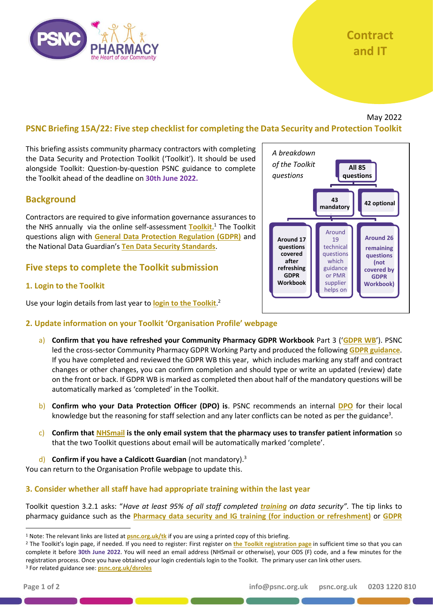# **Contract and IT**

# May 2022

# **PSNC Briefing 15A/22: Five step checklist for completing the Data Security and Protection Toolkit**

This briefing assists community pharmacy contractors with completing the Data Security and Protection Toolkit ('Toolkit'). It should be used alongside [Toolkit: Question-by-question PSNC guidance](https://psnc.org.uk/tk) to complete the Toolkit ahead of the deadline on **30th June 2022.**

# **Background**

Contractors are required to give information governance assurances to the NHS annually via the online self-assessment **[Toolkit](https://www.dsptoolkit.nhs.uk/?AspxAutoDetectCookieSupport=1)**. <sup>1</sup> The Toolkit questions align with **[General Data Protection Regulation \(GDPR\)](https://psnc.org.uk/contract-it/pharmacy-it/information-governance/the-general-data-protection-regulation-gdpr/)** and the National Data Guardian's **[Ten Data Security Standards](https://www.gov.uk/government/consultations/new-data-security-standards-for-health-and-social-care)**.

# **Five steps to complete the Toolkit submission**

#### **1. Login to the Toolkit**

Use your login details from last year to **[login to the Toolkit](https://www.dsptoolkit.nhs.uk/Account/Login)**. 2



#### **2. Update information on your Toolkit 'Organisation Profile' webpage**

- a) **Confirm that you have refreshed your Community Pharmacy GDPR Workbook** Part 3 ('**[GDPR WB](https://psnc.org.uk/contract-it/pharmacy-it/information-governance/the-general-data-protection-regulation-gdpr/)**'). PSNC led the cross-sector Community Pharmacy GDPR Working Party and produced the following **[GDPR guidance](http://www.psnc.org.uk/gdpr)**. If you have completed and reviewed the GDPR WB this year, which includes marking any staff and contract changes or other changes, you can confirm completion and should type or write an updated (review) date on the front or back. If GDPR WB is marked as completed then about half of the mandatory questions will be automatically marked as 'completed' in the Toolkit.
- b) **Confirm who your Data Protection Officer (DPO) is**. PSNC recommends an internal **[DPO](https://psnc.org.uk/dsroles)** for their local knowledge but the reasoning for staff selection and any later conflicts can be noted as per the guidance<sup>3</sup>.
- c) **Confirm that [NHSmail](https://psnc.org.uk/nhsmail) is the only email system that the pharmacy uses to transfer patient information** so that the two Toolkit questions about email will be automatically marked 'complete'.
- d) **Confirm if you have a Caldicott Guardian** (not mandatory).<sup>3</sup>

You can return to the Organisation Profile webpage to update this.

#### **3. Consider whether all staff have had appropriate training within the last year**

Toolkit question 3.2.1 asks: "*Have at least 95% of all staff completed [training](https://psnc.org.uk/contract-it/pharmacy-it/information-governance/ig-training/) on data security".* The tip links to pharmacy guidance such as the **[Pharmacy data security and IG training \(for induction or refreshment\)](https://psnc.org.uk/dstraining)** or **[GDPR](https://psnc.org.uk/dstraining)** 

<sup>&</sup>lt;sup>1</sup> Note: The relevant links are listed at **[psnc.org.uk/tk](http://www.psnc.org.uk/tk)** if you are using a printed copy of this briefing.

<sup>&</sup>lt;sup>2</sup> The Toolkit's login page, if needed. If you need to register: First register on *[the Toolkit registration page](https://www.dsptoolkit.nhs.uk/Account/Register)* in sufficient time so that you can complete it before **30th June 2022**. You will need an email address (NHSmail or otherwise), your ODS (F) code, and a few minutes for the registration process. Once you have obtained your login credentials login to the Toolkit. The primary user can link other users. <sup>3</sup> For related guidance see: **[psnc.org.uk/dsroles](https://psnc.org.uk/dsroles)**